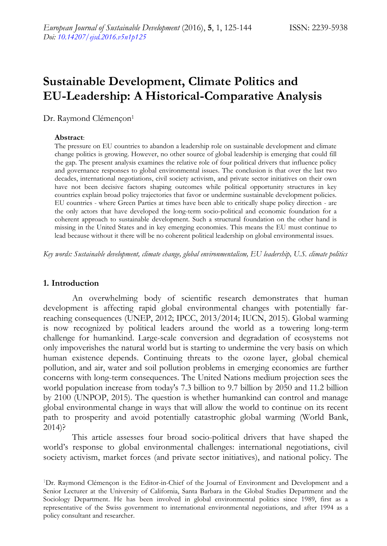# **Sustainable Development, Climate Politics and EU-Leadership: A Historical-Comparative Analysis**

Dr. Raymond Clémençon<sup>1</sup>

#### **Abstract**:

The pressure on EU countries to abandon a leadership role on sustainable development and climate change politics is growing. However, no other source of global leadership is emerging that could fill the gap. The present analysis examines the relative role of four political drivers that influence policy and governance responses to global environmental issues. The conclusion is that over the last two decades, international negotiations, civil society activism, and private sector initiatives on their own have not been decisive factors shaping outcomes while political opportunity structures in key countries explain broad policy trajectories that favor or undermine sustainable development policies. EU countries - where Green Parties at times have been able to critically shape policy direction - are the only actors that have developed the long-term socio-political and economic foundation for a coherent approach to sustainable development. Such a structural foundation on the other hand is missing in the United States and in key emerging economies. This means the EU must continue to lead because without it there will be no coherent political leadership on global environmental issues.

*Key words: Sustainable development, climate change, global environmentalism, EU leadership, U.S. climate politics*

# **1. Introduction**

An overwhelming body of scientific research demonstrates that human development is affecting rapid global environmental changes with potentially farreaching consequences (UNEP, 2012; IPCC, 2013/2014; IUCN, 2015). Global warming is now recognized by political leaders around the world as a towering long-term challenge for humankind. Large-scale conversion and degradation of ecosystems not only impoverishes the natural world but is starting to undermine the very basis on which human existence depends. Continuing threats to the ozone layer, global chemical pollution, and air, water and soil pollution problems in emerging economies are further concerns with long-term consequences. The United Nations medium projection sees the world population increase from today's 7.3 billion to 9.7 billion by 2050 and 11.2 billion by 2100 (UNPOP, 2015). The question is whether humankind can control and manage global environmental change in ways that will allow the world to continue on its recent path to prosperity and avoid potentially catastrophic global warming (World Bank, 2014)?

This article assesses four broad socio-political drivers that have shaped the world's response to global environmental challenges: international negotiations, civil society activism, market forces (and private sector initiatives), and national policy. The

<sup>1</sup>Dr. Raymond Clémençon is the Editor-in-Chief of the Journal of Environment and Development and a Senior Lecturer at the University of California, Santa Barbara in the Global Studies Department and the Sociology Department. He has been involved in global environmental politics since 1989, first as a representative of the Swiss government to international environmental negotiations, and after 1994 as a policy consultant and researcher.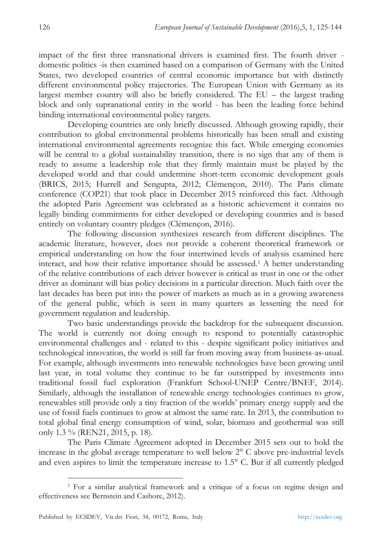impact of the first three transnational drivers is examined first. The fourth driver domestic politics -is then examined based on a comparison of Germany with the United States, two developed countries of central economic importance but with distinctly different environmental policy trajectories. The European Union with Germany as its largest member country will also be briefly considered. The EU – the largest trading block and only supranational entity in the world - has been the leading force behind binding international environmental policy targets.

Developing countries are only briefly discussed. Although growing rapidly, their contribution to global environmental problems historically has been small and existing international environmental agreements recognize this fact. While emerging economies will be central to a global sustainability transition, there is no sign that any of them is ready to assume a leadership role that they firmly maintain must be played by the developed world and that could undermine short-term economic development goals (BRICS, 2015; Hurrell and Sengupta, 2012; Clémençon, 2010). The Paris climate conference (COP21) that took place in December 2015 reinforced this fact. Although the adopted Paris Agreement was celebrated as a historic achievement it contains no legally binding commitments for either developed or developing countries and is based entirely on voluntary country pledges (Clémençon, 2016).

The following discussion synthesizes research from different disciplines. The academic literature, however, does not provide a coherent theoretical framework or empirical understanding on how the four intertwined levels of analysis examined here interact, and how their relative importance should be assessed.<sup>1</sup> A better understanding of the relative contributions of each driver however is critical as trust in one or the other driver as dominant will bias policy decisions in a particular direction. Much faith over the last decades has been put into the power of markets as much as in a growing awareness of the general public, which is seen in many quarters as lessening the need for government regulation and leadership.

Two basic understandings provide the backdrop for the subsequent discussion. The world is currently not doing enough to respond to potentially catastrophic environmental challenges and - related to this - despite significant policy initiatives and technological innovation, the world is still far from moving away from business-as-usual. For example, although investments into renewable technologies have been growing until last year, in total volume they continue to be far outstripped by investments into traditional fossil fuel exploration (Frankfurt School-UNEP Centre/BNEF, 2014). Similarly, although the installation of renewable energy technologies continues to grow, renewables still provide only a tiny fraction of the worlds' primary energy supply and the use of fossil fuels continues to grow at almost the same rate. In 2013, the contribution to total global final energy consumption of wind, solar, biomass and geothermal was still only 1.3 % (REN21, 2015, p. 18).

The Paris Climate Agreement adopted in December 2015 sets out to hold the increase in the global average temperature to well below 2° C above pre-industrial levels and even aspires to limit the temperature increase to 1.5° C. But if all currently pledged

-

<sup>1</sup> For a similar analytical framework and a critique of a focus on regime design and effectiveness see Bernstein and Cashore, 2012).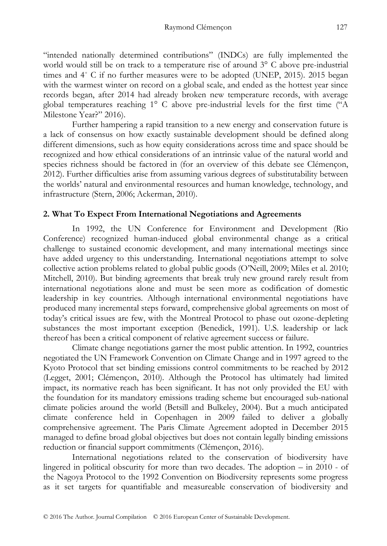"intended nationally determined contributions" (INDCs) are fully implemented the world would still be on track to a temperature rise of around 3° C above pre-industrial times and 4˚ C if no further measures were to be adopted (UNEP, 2015). 2015 began with the warmest winter on record on a global scale, and ended as the hottest year since records began, after 2014 had already broken new temperature records, with average global temperatures reaching 1° C above pre-industrial levels for the first time ("A Milestone Year?" 2016).

Further hampering a rapid transition to a new energy and conservation future is a lack of consensus on how exactly sustainable development should be defined along different dimensions, such as how equity considerations across time and space should be recognized and how ethical considerations of an intrinsic value of the natural world and species richness should be factored in (for an overview of this debate see Clémençon, 2012). Further difficulties arise from assuming various degrees of substitutability between the worlds' natural and environmental resources and human knowledge, technology, and infrastructure (Stern, 2006; Ackerman, 2010).

# **2. What To Expect From International Negotiations and Agreements**

In 1992, the UN Conference for Environment and Development (Rio Conference) recognized human-induced global environmental change as a critical challenge to sustained economic development, and many international meetings since have added urgency to this understanding. International negotiations attempt to solve collective action problems related to global public goods (O'Neill, 2009; Miles et al. 2010; Mitchell, 2010). But binding agreements that break truly new ground rarely result from international negotiations alone and must be seen more as codification of domestic leadership in key countries. Although international environmental negotiations have produced many incremental steps forward, comprehensive global agreements on most of today's critical issues are few, with the Montreal Protocol to phase out ozone-depleting substances the most important exception (Benedick, 1991). U.S. leadership or lack thereof has been a critical component of relative agreement success or failure.

Climate change negotiations garner the most public attention. In 1992, countries negotiated the UN Framework Convention on Climate Change and in 1997 agreed to the Kyoto Protocol that set binding emissions control commitments to be reached by 2012 (Legget, 2001; Clémençon, 2010). Although the Protocol has ultimately had limited impact, its normative reach has been significant. It has not only provided the EU with the foundation for its mandatory emissions trading scheme but encouraged sub-national climate policies around the world (Betsill and Bulkeley, 2004). But a much anticipated climate conference held in Copenhagen in 2009 failed to deliver a globally comprehensive agreement. The Paris Climate Agreement adopted in December 2015 managed to define broad global objectives but does not contain legally binding emissions reduction or financial support commitments (Clémençon, 2016).

International negotiations related to the conservation of biodiversity have lingered in political obscurity for more than two decades. The adoption – in 2010 - of the Nagoya Protocol to the 1992 Convention on Biodiversity represents some progress as it set targets for quantifiable and measureable conservation of biodiversity and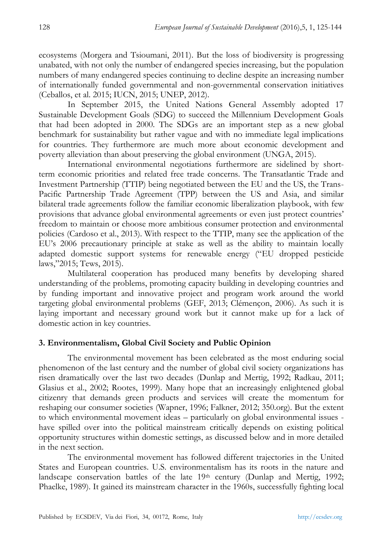ecosystems (Morgera and Tsioumani, 2011). But the loss of biodiversity is progressing unabated, with not only the number of endangered species increasing, but the population numbers of many endangered species continuing to decline despite an increasing number of internationally funded governmental and non-governmental conservation initiatives (Ceballos, et al. 2015; IUCN, 2015; UNEP, 2012).

In September 2015, the United Nations General Assembly adopted 17 Sustainable Development Goals (SDG) to succeed the Millennium Development Goals that had been adopted in 2000. The SDGs are an important step as a new global benchmark for sustainability but rather vague and with no immediate legal implications for countries. They furthermore are much more about economic development and poverty alleviation than about preserving the global environment (UNGA, 2015).

International environmental negotiations furthermore are sidelined by shortterm economic priorities and related free trade concerns. The Transatlantic Trade and Investment Partnership (TTIP) being negotiated between the EU and the US, the Trans-Pacific Partnership Trade Agreement (TPP) between the US and Asia, and similar bilateral trade agreements follow the familiar economic liberalization playbook, with few provisions that advance global environmental agreements or even just protect countries' freedom to maintain or choose more ambitious consumer protection and environmental policies (Cardoso et al., 2013). With respect to the TTIP, many see the application of the EU's 2006 precautionary principle at stake as well as the ability to maintain locally adapted domestic support systems for renewable energy ("EU dropped pesticide laws,"2015; Tews, 2015).

Multilateral cooperation has produced many benefits by developing shared understanding of the problems, promoting capacity building in developing countries and by funding important and innovative project and program work around the world targeting global environmental problems (GEF, 2013; Clémençon, 2006). As such it is laying important and necessary ground work but it cannot make up for a lack of domestic action in key countries.

# **3. Environmentalism, Global Civil Society and Public Opinion**

The environmental movement has been celebrated as the most enduring social phenomenon of the last century and the number of global civil society organizations has risen dramatically over the last two decades (Dunlap and Mertig, 1992; Radkau, 2011; Glasius et al., 2002; Rootes, 1999). Many hope that an increasingly enlightened global citizenry that demands green products and services will create the momentum for reshaping our consumer societies (Wapner, 1996; Falkner, 2012; 350.org). But the extent to which environmental movement ideas – particularly on global environmental issues have spilled over into the political mainstream critically depends on existing political opportunity structures within domestic settings, as discussed below and in more detailed in the next section.

The environmental movement has followed different trajectories in the United States and European countries. U.S. environmentalism has its roots in the nature and landscape conservation battles of the late  $19<sup>th</sup>$  century (Dunlap and Mertig, 1992; Phaelke, 1989). It gained its mainstream character in the 1960s, successfully fighting local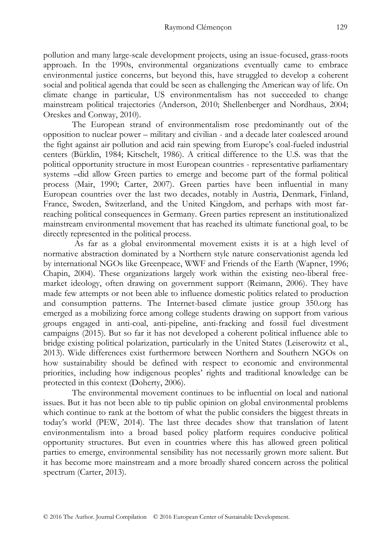pollution and many large-scale development projects, using an issue-focused, grass-roots approach. In the 1990s, environmental organizations eventually came to embrace environmental justice concerns, but beyond this, have struggled to develop a coherent social and political agenda that could be seen as challenging the American way of life. On climate change in particular, US environmentalism has not succeeded to change mainstream political trajectories (Anderson, 2010; Shellenberger and Nordhaus, 2004; Oreskes and Conway, 2010).

The European strand of environmentalism rose predominantly out of the opposition to nuclear power – military and civilian - and a decade later coalesced around the fight against air pollution and acid rain spewing from Europe's coal-fueled industrial centers (Bürklin, 1984; Kitschelt, 1986). A critical difference to the U.S. was that the political opportunity structure in most European countries - representative parliamentary systems –did allow Green parties to emerge and become part of the formal political process (Mair, 1990; Carter, 2007). Green parties have been influential in many European countries over the last two decades, notably in Austria, Denmark, Finland, France, Sweden, Switzerland, and the United Kingdom, and perhaps with most farreaching political consequences in Germany. Green parties represent an institutionalized mainstream environmental movement that has reached its ultimate functional goal, to be directly represented in the political process.

As far as a global environmental movement exists it is at a high level of normative abstraction dominated by a Northern style nature conservationist agenda led by international NGOs like Greenpeace, WWF and Friends of the Earth (Wapner, 1996; Chapin, 2004). These organizations largely work within the existing neo-liberal freemarket ideology, often drawing on government support (Reimann, 2006). They have made few attempts or not been able to influence domestic politics related to production and consumption patterns. The Internet-based climate justice group 350.org has emerged as a mobilizing force among college students drawing on support from various groups engaged in anti-coal, anti-pipeline, anti-fracking and fossil fuel divestment campaigns (2015). But so far it has not developed a coherent political influence able to bridge existing political polarization, particularly in the United States (Leiserowitz et al., 2013). Wide differences exist furthermore between Northern and Southern NGOs on how sustainability should be defined with respect to economic and environmental priorities, including how indigenous peoples' rights and traditional knowledge can be protected in this context (Doherty, 2006).

The environmental movement continues to be influential on local and national issues. But it has not been able to tip public opinion on global environmental problems which continue to rank at the bottom of what the public considers the biggest threats in today's world (PEW, 2014). The last three decades show that translation of latent environmentalism into a broad based policy platform requires conducive political opportunity structures. But even in countries where this has allowed green political parties to emerge, environmental sensibility has not necessarily grown more salient. But it has become more mainstream and a more broadly shared concern across the political spectrum (Carter, 2013).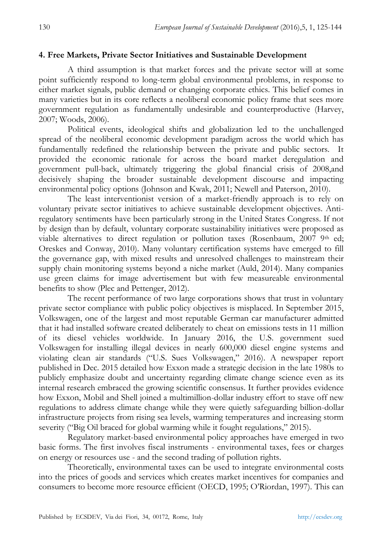# **4. Free Markets, Private Sector Initiatives and Sustainable Development**

A third assumption is that market forces and the private sector will at some point sufficiently respond to long-term global environmental problems, in response to either market signals, public demand or changing corporate ethics. This belief comes in many varieties but in its core reflects a neoliberal economic policy frame that sees more government regulation as fundamentally undesirable and counterproductive (Harvey, 2007; Woods, 2006).

Political events, ideological shifts and globalization led to the unchallenged spread of the neoliberal economic development paradigm across the world which has fundamentally redefined the relationship between the private and public sectors. It provided the economic rationale for across the board market deregulation and government pull-back, ultimately triggering the global financial crisis of 2008,and decisively shaping the broader sustainable development discourse and impacting environmental policy options (Johnson and Kwak, 2011; Newell and Paterson, 2010).

The least interventionist version of a market-friendly approach is to rely on voluntary private sector initiatives to achieve sustainable development objectives. Antiregulatory sentiments have been particularly strong in the United States Congress. If not by design than by default, voluntary corporate sustainability initiatives were proposed as viable alternatives to direct regulation or pollution taxes (Rosenbaum,  $20079$ <sup>th</sup> ed; Oreskes and Conway, 2010). Many voluntary certification systems have emerged to fill the governance gap, with mixed results and unresolved challenges to mainstream their supply chain monitoring systems beyond a niche market (Auld, 2014). Many companies use green claims for image advertisement but with few measureable environmental benefits to show (Plec and Pettenger, 2012).

The recent performance of two large corporations shows that trust in voluntary private sector compliance with public policy objectives is misplaced. In September 2015, Volkswagen, one of the largest and most reputable German car manufacturer admitted that it had installed software created deliberately to cheat on emissions tests in 11 million of its diesel vehicles worldwide. In January 2016, the U.S. government sued Volkswagen for installing illegal devices in nearly 600,000 diesel engine systems and violating clean air standards ("U.S. Sues Volkswagen," 2016). A newspaper report published in Dec. 2015 detailed how Exxon made a strategic decision in the late 1980s to publicly emphasize doubt and uncertainty regarding climate change science even as its internal research embraced the growing scientific consensus. It further provides evidence how Exxon, Mobil and Shell joined a multimillion-dollar industry effort to stave off new regulations to address climate change while they were quietly safeguarding billion-dollar infrastructure projects from rising sea levels, warming temperatures and increasing storm severity ("Big Oil braced for global warming while it fought regulations," 2015).

Regulatory market-based environmental policy approaches have emerged in two basic forms. The first involves fiscal instruments - environmental taxes, fees or charges on energy or resources use - and the second trading of pollution rights.

Theoretically, environmental taxes can be used to integrate environmental costs into the prices of goods and services which creates market incentives for companies and consumers to become more resource efficient (OECD, 1995; O'Riordan, 1997). This can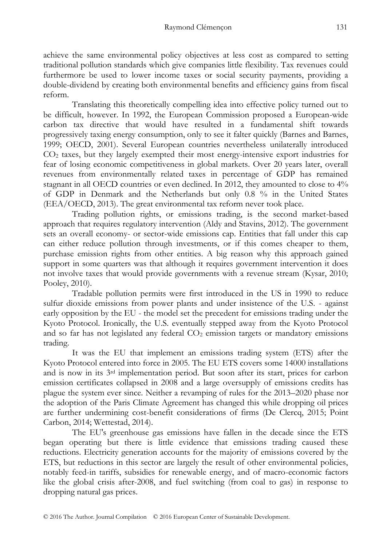achieve the same environmental policy objectives at less cost as compared to setting traditional pollution standards which give companies little flexibility. Tax revenues could furthermore be used to lower income taxes or social security payments, providing a double-dividend by creating both environmental benefits and efficiency gains from fiscal reform.

Translating this theoretically compelling idea into effective policy turned out to be difficult, however. In 1992, the European Commission proposed a European-wide carbon tax directive that would have resulted in a fundamental shift towards progressively taxing energy consumption, only to see it falter quickly (Barnes and Barnes, 1999; OECD, 2001). Several European countries nevertheless unilaterally introduced CO<sup>2</sup> taxes, but they largely exempted their most energy-intensive export industries for fear of losing economic competitiveness in global markets. Over 20 years later, overall revenues from environmentally related taxes in percentage of GDP has remained stagnant in all OECD countries or even declined. In 2012, they amounted to close to 4% of GDP in Denmark and the Netherlands but only 0.8 % in the United States (EEA/OECD, 2013). The great environmental tax reform never took place.

Trading pollution rights, or emissions trading, is the second market-based approach that requires regulatory intervention (Aldy and Stavins, 2012). The government sets an overall economy- or sector-wide emissions cap. Entities that fall under this cap can either reduce pollution through investments, or if this comes cheaper to them, purchase emission rights from other entities. A big reason why this approach gained support in some quarters was that although it requires government intervention it does not involve taxes that would provide governments with a revenue stream (Kysar, 2010; Pooley, 2010).

Tradable pollution permits were first introduced in the US in 1990 to reduce sulfur dioxide emissions from power plants and under insistence of the U.S. - against early opposition by the EU - the model set the precedent for emissions trading under the Kyoto Protocol. Ironically, the U.S. eventually stepped away from the Kyoto Protocol and so far has not legislated any federal  $CO<sub>2</sub>$  emission targets or mandatory emissions trading.

It was the EU that implement an emissions trading system (ETS) after the Kyoto Protocol entered into force in 2005. The EU ETS covers some 14000 installations and is now in its 3rd implementation period. But soon after its start, prices for carbon emission certificates collapsed in 2008 and a large oversupply of emissions credits has plague the system ever since. Neither a revamping of rules for the 2013–2020 phase nor the adoption of the Paris Climate Agreement has changed this while dropping oil prices are further undermining cost-benefit considerations of firms (De Clercq, 2015; Point Carbon, 2014; Wettestad, 2014).

The EU's greenhouse gas emissions have fallen in the decade since the ETS began operating but there is little evidence that emissions trading caused these reductions. Electricity generation accounts for the majority of emissions covered by the ETS, but reductions in this sector are largely the result of other environmental policies, notably feed-in tariffs, subsidies for renewable energy, and of macro-economic factors like the global crisis after-2008, and fuel switching (from coal to gas) in response to dropping natural gas prices.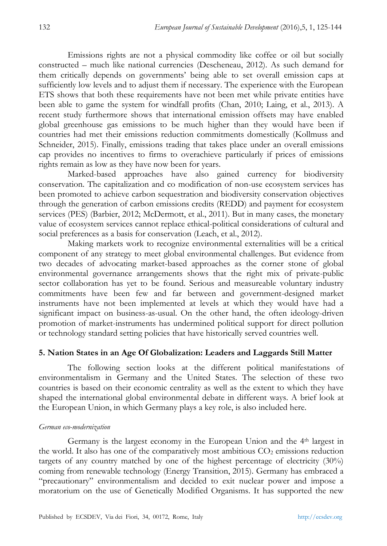Emissions rights are not a physical commodity like coffee or oil but socially constructed – much like national currencies (Descheneau, 2012). As such demand for them critically depends on governments' being able to set overall emission caps at sufficiently low levels and to adjust them if necessary. The experience with the European ETS shows that both these requirements have not been met while private entities have been able to game the system for windfall profits (Chan, 2010; Laing, et al., 2013). A recent study furthermore shows that international emission offsets may have enabled global greenhouse gas emissions to be much higher than they would have been if countries had met their emissions reduction commitments domestically (Kollmuss and Schneider, 2015). Finally, emissions trading that takes place under an overall emissions cap provides no incentives to firms to overachieve particularly if prices of emissions rights remain as low as they have now been for years.

Marked-based approaches have also gained currency for biodiversity conservation. The capitalization and co modification of non-use ecosystem services has been promoted to achieve carbon sequestration and biodiversity conservation objectives through the generation of carbon emissions credits (REDD) and payment for ecosystem services (PES) (Barbier, 2012; McDermott, et al., 2011). But in many cases, the monetary value of ecosystem services cannot replace ethical-political considerations of cultural and social preferences as a basis for conservation (Leach, et al., 2012).

Making markets work to recognize environmental externalities will be a critical component of any strategy to meet global environmental challenges. But evidence from two decades of advocating market-based approaches as the corner stone of global environmental governance arrangements shows that the right mix of private-public sector collaboration has yet to be found. Serious and measureable voluntary industry commitments have been few and far between and government-designed market instruments have not been implemented at levels at which they would have had a significant impact on business-as-usual. On the other hand, the often ideology-driven promotion of market-instruments has undermined political support for direct pollution or technology standard setting policies that have historically served countries well.

# **5. Nation States in an Age Of Globalization: Leaders and Laggards Still Matter**

The following section looks at the different political manifestations of environmentalism in Germany and the United States. The selection of these two countries is based on their economic centrality as well as the extent to which they have shaped the international global environmental debate in different ways. A brief look at the European Union, in which Germany plays a key role, is also included here.

#### *German eco-modernization*

Germany is the largest economy in the European Union and the 4th largest in the world. It also has one of the comparatively most ambitious  $CO<sub>2</sub>$  emissions reduction targets of any country matched by one of the highest percentage of electricity (30%) coming from renewable technology (Energy Transition, 2015). Germany has embraced a "precautionary" environmentalism and decided to exit nuclear power and impose a moratorium on the use of Genetically Modified Organisms. It has supported the new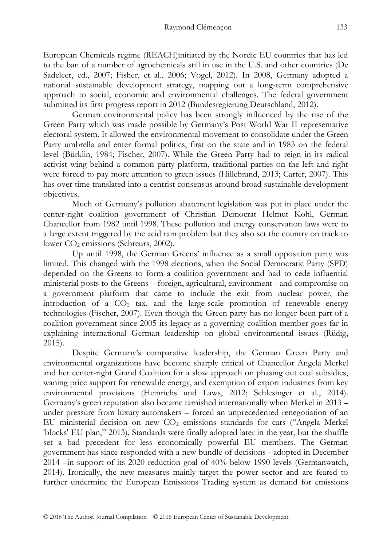European Chemicals regime (REACH)initiated by the Nordic EU countries that has led to the ban of a number of agrochemicals still in use in the U.S. and other countries (De Sadeleer, ed., 2007; Fisher, et al., 2006; Vogel, 2012). In 2008, Germany adopted a national sustainable development strategy, mapping out a long-term comprehensive approach to social, economic and environmental challenges. The federal government submitted its first progress report in 2012 (Bundesregierung Deutschland, 2012).

German environmental policy has been strongly influenced by the rise of the Green Party which was made possible by Germany's Post World War II representative electoral system. It allowed the environmental movement to consolidate under the Green Party umbrella and enter formal politics, first on the state and in 1983 on the federal level (Bürklin, 1984; Fischer, 2007). While the Green Party had to reign in its radical activist wing behind a common party platform, traditional parties on the left and right were forced to pay more attention to green issues (Hillebrand, 2013; Carter, 2007). This has over time translated into a centrist consensus around broad sustainable development objectives.

Much of Germany's pollution abatement legislation was put in place under the center-right coalition government of Christian Democrat Helmut Kohl, German Chancellor from 1982 until 1998. These pollution and energy conservation laws were to a large extent triggered by the acid rain problem but they also set the country on track to lower CO<sub>2</sub> emissions (Schreurs, 2002).

Up until 1998, the German Greens' influence as a small opposition party was limited. This changed with the 1998 elections, when the Social Democratic Party (SPD) depended on the Greens to form a coalition government and had to cede influential ministerial posts to the Greens – foreign, agricultural, environment - and compromise on a government platform that came to include the exit from nuclear power, the introduction of a  $CO<sub>2</sub>$  tax, and the large-scale promotion of renewable energy technologies (Fischer, 2007). Even though the Green party has no longer been part of a coalition government since 2005 its legacy as a governing coalition member goes far in explaining international German leadership on global environmental issues (Rüdig, 2015).

Despite Germany's comparative leadership, the German Green Party and environmental organizations have become sharply critical of Chancellor Angela Merkel and her center-right Grand Coalition for a slow approach on phasing out coal subsidies, waning price support for renewable energy, and exemption of export industries from key environmental provisions (Heinrichs und Laws, 2012; Schlesinger et al., 2014). Germany's green reputation also became tarnished internationally when Merkel in 2013 – under pressure from luxury automakers – forced an unprecedented renegotiation of an EU ministerial decision on new  $CO<sub>2</sub>$  emissions standards for cars ("Angela Merkel 'blocks' EU plan," 2013). Standards were finally adopted later in the year, but the shuffle set a bad precedent for less economically powerful EU members. The German government has since responded with a new bundle of decisions - adopted in December 2014 –in support of its 2020 reduction goal of 40% below 1990 levels (Germanwatch, 2014). Ironically, the new measures mainly target the power sector and are feared to further undermine the European Emissions Trading system as demand for emissions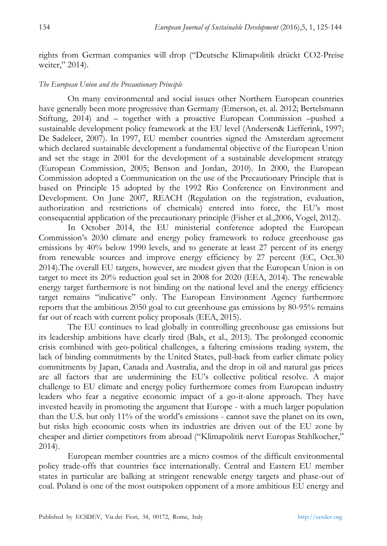rights from German companies will drop ("Deutsche Klimapolitik drückt CO2-Preise weiter," 2014).

## *The European Union and the Precautionary Principle*

On many environmental and social issues other Northern European countries have generally been more progressive than Germany (Emerson, et. al. 2012; Bertelsmann Stiftung, 2014) and – together with a proactive European Commission –pushed a sustainable development policy framework at the EU level (Andersen& Liefferink, 1997; De Sadeleer, 2007). In 1997, EU member countries signed the Amsterdam agreement which declared sustainable development a fundamental objective of the European Union and set the stage in 2001 for the development of a sustainable development strategy (European Commission, 2005; Benson and Jordan, 2010). In 2000, the European Commission adopted a Communication on the use of the Precautionary Principle that is based on Principle 15 adopted by the 1992 Rio Conference on Environment and Development. On June 2007, REACH (Regulation on the registration, evaluation, authorization and restrictions of chemicals) entered into force, the EU's most consequential application of the precautionary principle (Fisher et al.,2006, Vogel, 2012).

In October 2014, the EU ministerial conference adopted the European Commission's 2030 climate and energy policy framework to reduce greenhouse gas emissions by 40% below 1990 levels, and to generate at least 27 percent of its energy from renewable sources and improve energy efficiency by 27 percent (EC, Oct.30 2014).The overall EU targets, however, are modest given that the European Union is on target to meet its 20% reduction goal set in 2008 for 2020 (EEA, 2014). The renewable energy target furthermore is not binding on the national level and the energy efficiency target remains "indicative" only. The European Environment Agency furthermore reports that the ambitious 2050 goal to cut greenhouse gas emissions by 80-95% remains far out of reach with current policy proposals (EEA, 2015).

The EU continues to lead globally in controlling greenhouse gas emissions but its leadership ambitions have clearly tired (Bals, et al., 2013). The prolonged economic crisis combined with geo-political challenges, a faltering emissions trading system, the lack of binding commitments by the United States, pull-back from earlier climate policy commitments by Japan, Canada and Australia, and the drop in oil and natural gas prices are all factors that are undermining the EU's collective political resolve. A major challenge to EU climate and energy policy furthermore comes from European industry leaders who fear a negative economic impact of a go-it-alone approach. They have invested heavily in promoting the argument that Europe - with a much larger population than the U.S. but only 11% of the world's emissions - cannot save the planet on its own, but risks high economic costs when its industries are driven out of the EU zone by cheaper and dirtier competitors from abroad ("Klimapolitik nervt Europas Stahlkocher," 2014).

European member countries are a micro cosmos of the difficult environmental policy trade-offs that countries face internationally. Central and Eastern EU member states in particular are balking at stringent renewable energy targets and phase-out of coal. Poland is one of the most outspoken opponent of a more ambitious EU energy and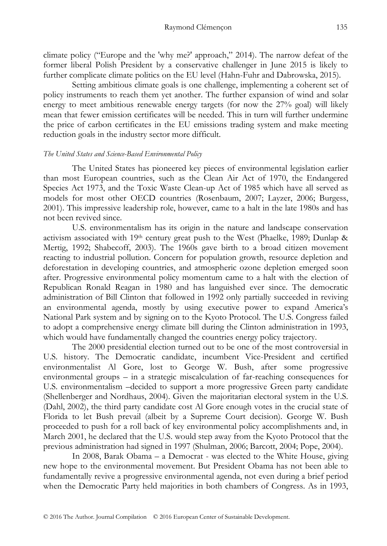climate policy ("Europe and the 'why me?' approach," 2014). The narrow defeat of the former liberal Polish President by a conservative challenger in June 2015 is likely to further complicate climate politics on the EU level (Hahn-Fuhr and Dabrowska, 2015).

Setting ambitious climate goals is one challenge, implementing a coherent set of policy instruments to reach them yet another. The further expansion of wind and solar energy to meet ambitious renewable energy targets (for now the 27% goal) will likely mean that fewer emission certificates will be needed. This in turn will further undermine the price of carbon certificates in the EU emissions trading system and make meeting reduction goals in the industry sector more difficult.

## *The United States and Science-Based Environmental Policy*

The United States has pioneered key pieces of environmental legislation earlier than most European countries, such as the Clean Air Act of 1970, the Endangered Species Act 1973, and the Toxic Waste Clean-up Act of 1985 which have all served as models for most other OECD countries (Rosenbaum, 2007; Layzer, 2006; Burgess, 2001). This impressive leadership role, however, came to a halt in the late 1980s and has not been revived since.

U.S. environmentalism has its origin in the nature and landscape conservation activism associated with  $19<sup>th</sup>$  century great push to the West (Phaelke, 1989; Dunlap & Mertig, 1992; Shabecoff, 2003). The 1960s gave birth to a broad citizen movement reacting to industrial pollution. Concern for population growth, resource depletion and deforestation in developing countries, and atmospheric ozone depletion emerged soon after. Progressive environmental policy momentum came to a halt with the election of Republican Ronald Reagan in 1980 and has languished ever since. The democratic administration of Bill Clinton that followed in 1992 only partially succeeded in reviving an environmental agenda, mostly by using executive power to expand America's National Park system and by signing on to the Kyoto Protocol. The U.S. Congress failed to adopt a comprehensive energy climate bill during the Clinton administration in 1993, which would have fundamentally changed the countries energy policy trajectory.

The 2000 presidential election turned out to be one of the most controversial in U.S. history. The Democratic candidate, incumbent Vice-President and certified environmentalist Al Gore, lost to George W. Bush, after some progressive environmental groups – in a strategic miscalculation of far-reaching consequences for U.S. environmentalism –decided to support a more progressive Green party candidate (Shellenberger and Nordhaus, 2004). Given the majoritarian electoral system in the U.S. (Dahl, 2002), the third party candidate cost Al Gore enough votes in the crucial state of Florida to let Bush prevail (albeit by a Supreme Court decision). George W. Bush proceeded to push for a roll back of key environmental policy accomplishments and, in March 2001, he declared that the U.S. would step away from the Kyoto Protocol that the previous administration had signed in 1997 (Shulman, 2006; Barcott, 2004; Pope, 2004).

In 2008, Barak Obama – a Democrat - was elected to the White House, giving new hope to the environmental movement. But President Obama has not been able to fundamentally revive a progressive environmental agenda, not even during a brief period when the Democratic Party held majorities in both chambers of Congress. As in 1993,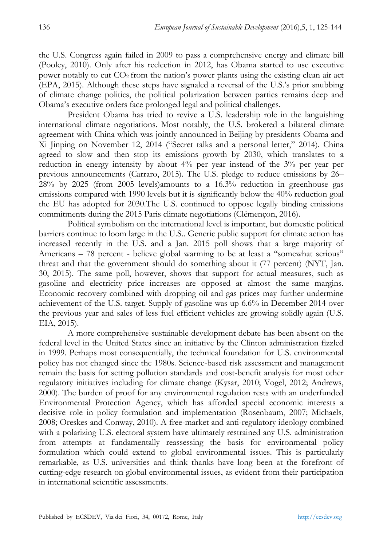the U.S. Congress again failed in 2009 to pass a comprehensive energy and climate bill (Pooley, 2010). Only after his reelection in 2012, has Obama started to use executive power notably to cut  $CO<sub>2</sub>$  from the nation's power plants using the existing clean air act (EPA, 2015). Although these steps have signaled a reversal of the U.S.'s prior snubbing of climate change politics, the political polarization between parties remains deep and Obama's executive orders face prolonged legal and political challenges.

President Obama has tried to revive a U.S. leadership role in the languishing international climate negotiations. Most notably, the U.S. brokered a bilateral climate agreement with China which was jointly announced in Beijing by presidents Obama and Xi Jinping on November 12, 2014 ("Secret talks and a personal letter," 2014). China agreed to slow and then stop its emissions growth by 2030, which translates to a reduction in energy intensity by about 4% per year instead of the 3% per year per previous announcements (Carraro, 2015). The U.S. pledge to reduce emissions by 26– 28% by 2025 (from 2005 levels)amounts to a 16.3% reduction in greenhouse gas emissions compared with 1990 levels but it is significantly below the 40% reduction goal the EU has adopted for 2030.The U.S. continued to oppose legally binding emissions commitments during the 2015 Paris climate negotiations (Clémençon, 2016).

Political symbolism on the international level is important, but domestic political barriers continue to loom large in the U.S.. Generic public support for climate action has increased recently in the U.S. and a Jan. 2015 poll shows that a large majority of Americans – 78 percent - believe global warming to be at least a "somewhat serious" threat and that the government should do something about it (77 percent) (NYT, Jan. 30, 2015). The same poll, however, shows that support for actual measures, such as gasoline and electricity price increases are opposed at almost the same margins. Economic recovery combined with dropping oil and gas prices may further undermine achievement of the U.S. target. Supply of gasoline was up 6.6% in December 2014 over the previous year and sales of less fuel efficient vehicles are growing solidly again (U.S. EIA, 2015).

A more comprehensive sustainable development debate has been absent on the federal level in the United States since an initiative by the Clinton administration fizzled in 1999. Perhaps most consequentially, the technical foundation for U.S. environmental policy has not changed since the 1980s. Science-based risk assessment and management remain the basis for setting pollution standards and cost-benefit analysis for most other regulatory initiatives including for climate change (Kysar, 2010; Vogel, 2012; Andrews, 2000). The burden of proof for any environmental regulation rests with an underfunded Environmental Protection Agency, which has afforded special economic interests a decisive role in policy formulation and implementation (Rosenbaum, 2007; Michaels, 2008; Oreskes and Conway, 2010). A free-market and anti-regulatory ideology combined with a polarizing U.S. electoral system have ultimately restrained any U.S. administration from attempts at fundamentally reassessing the basis for environmental policy formulation which could extend to global environmental issues. This is particularly remarkable, as U.S. universities and think thanks have long been at the forefront of cutting-edge research on global environmental issues, as evident from their participation in international scientific assessments.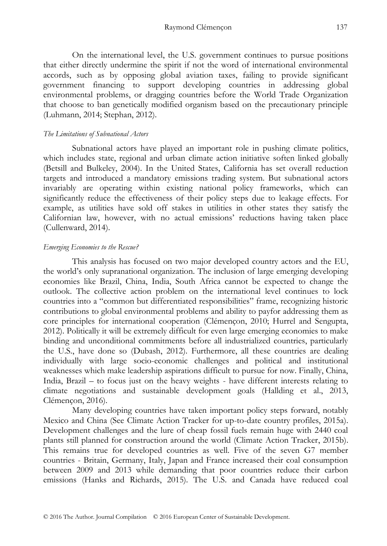On the international level, the U.S. government continues to pursue positions that either directly undermine the spirit if not the word of international environmental accords, such as by opposing global aviation taxes, failing to provide significant government financing to support developing countries in addressing global environmental problems, or dragging countries before the World Trade Organization that choose to ban genetically modified organism based on the precautionary principle (Luhmann, 2014; Stephan, 2012).

#### *The Limitations of Subnational Actors*

Subnational actors have played an important role in pushing climate politics, which includes state, regional and urban climate action initiative soften linked globally (Betsill and Bulkeley, 2004). In the United States, California has set overall reduction targets and introduced a mandatory emissions trading system. But subnational actors invariably are operating within existing national policy frameworks, which can significantly reduce the effectiveness of their policy steps due to leakage effects. For example, as utilities have sold off stakes in utilities in other states they satisfy the Californian law, however, with no actual emissions' reductions having taken place (Cullenward, 2014).

### *Emerging Economies to the Rescue?*

This analysis has focused on two major developed country actors and the EU, the world's only supranational organization. The inclusion of large emerging developing economies like Brazil, China, India, South Africa cannot be expected to change the outlook. The collective action problem on the international level continues to lock countries into a "common but differentiated responsibilities" frame, recognizing historic contributions to global environmental problems and ability to payfor addressing them as core principles for international cooperation (Clémençon, 2010; Hurrel and Sengupta, 2012). Politically it will be extremely difficult for even large emerging economies to make binding and unconditional commitments before all industrialized countries, particularly the U.S., have done so (Dubash, 2012). Furthermore, all these countries are dealing individually with large socio-economic challenges and political and institutional weaknesses which make leadership aspirations difficult to pursue for now. Finally, China, India, Brazil – to focus just on the heavy weights - have different interests relating to climate negotiations and sustainable development goals (Hallding et al., 2013, Clémençon, 2016).

Many developing countries have taken important policy steps forward, notably Mexico and China (See Climate Action Tracker for up-to-date country profiles, 2015a). Development challenges and the lure of cheap fossil fuels remain huge with 2440 coal plants still planned for construction around the world (Climate Action Tracker, 2015b). This remains true for developed countries as well. Five of the seven G7 member countries - Britain, Germany, Italy, Japan and France increased their coal consumption between 2009 and 2013 while demanding that poor countries reduce their carbon emissions (Hanks and Richards, 2015). The U.S. and Canada have reduced coal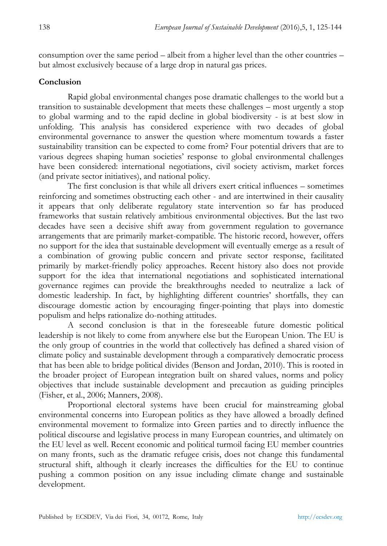consumption over the same period – albeit from a higher level than the other countries – but almost exclusively because of a large drop in natural gas prices.

# **Conclusion**

Rapid global environmental changes pose dramatic challenges to the world but a transition to sustainable development that meets these challenges – most urgently a stop to global warming and to the rapid decline in global biodiversity - is at best slow in unfolding. This analysis has considered experience with two decades of global environmental governance to answer the question where momentum towards a faster sustainability transition can be expected to come from? Four potential drivers that are to various degrees shaping human societies' response to global environmental challenges have been considered: international negotiations, civil society activism, market forces (and private sector initiatives), and national policy.

The first conclusion is that while all drivers exert critical influences – sometimes reinforcing and sometimes obstructing each other - and are intertwined in their causality it appears that only deliberate regulatory state intervention so far has produced frameworks that sustain relatively ambitious environmental objectives. But the last two decades have seen a decisive shift away from government regulation to governance arrangements that are primarily market-compatible. The historic record, however, offers no support for the idea that sustainable development will eventually emerge as a result of a combination of growing public concern and private sector response, facilitated primarily by market-friendly policy approaches. Recent history also does not provide support for the idea that international negotiations and sophisticated international governance regimes can provide the breakthroughs needed to neutralize a lack of domestic leadership. In fact, by highlighting different countries' shortfalls, they can discourage domestic action by encouraging finger-pointing that plays into domestic populism and helps rationalize do-nothing attitudes.

A second conclusion is that in the foreseeable future domestic political leadership is not likely to come from anywhere else but the European Union. The EU is the only group of countries in the world that collectively has defined a shared vision of climate policy and sustainable development through a comparatively democratic process that has been able to bridge political divides (Benson and Jordan, 2010). This is rooted in the broader project of European integration built on shared values, norms and policy objectives that include sustainable development and precaution as guiding principles (Fisher, et al., 2006; Manners, 2008).

Proportional electoral systems have been crucial for mainstreaming global environmental concerns into European politics as they have allowed a broadly defined environmental movement to formalize into Green parties and to directly influence the political discourse and legislative process in many European countries, and ultimately on the EU level as well. Recent economic and political turmoil facing EU member countries on many fronts, such as the dramatic refugee crisis, does not change this fundamental structural shift, although it clearly increases the difficulties for the EU to continue pushing a common position on any issue including climate change and sustainable development.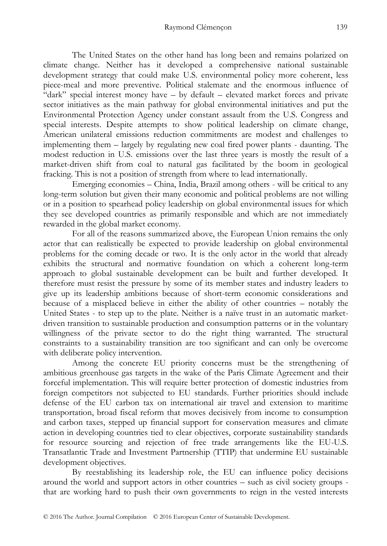The United States on the other hand has long been and remains polarized on climate change. Neither has it developed a comprehensive national sustainable development strategy that could make U.S. environmental policy more coherent, less piece-meal and more preventive. Political stalemate and the enormous influence of "dark" special interest money have – by default – elevated market forces and private sector initiatives as the main pathway for global environmental initiatives and put the Environmental Protection Agency under constant assault from the U.S. Congress and special interests. Despite attempts to show political leadership on climate change, American unilateral emissions reduction commitments are modest and challenges to implementing them – largely by regulating new coal fired power plants - daunting. The modest reduction in U.S. emissions over the last three years is mostly the result of a market-driven shift from coal to natural gas facilitated by the boom in geological fracking. This is not a position of strength from where to lead internationally.

Emerging economies – China, India, Brazil among others - will be critical to any long-term solution but given their many economic and political problems are not willing or in a position to spearhead policy leadership on global environmental issues for which they see developed countries as primarily responsible and which are not immediately rewarded in the global market economy.

For all of the reasons summarized above, the European Union remains the only actor that can realistically be expected to provide leadership on global environmental problems for the coming decade or two. It is the only actor in the world that already exhibits the structural and normative foundation on which a coherent long-term approach to global sustainable development can be built and further developed. It therefore must resist the pressure by some of its member states and industry leaders to give up its leadership ambitions because of short-term economic considerations and because of a misplaced believe in either the ability of other countries – notably the United States - to step up to the plate. Neither is a naïve trust in an automatic marketdriven transition to sustainable production and consumption patterns or in the voluntary willingness of the private sector to do the right thing warranted. The structural constraints to a sustainability transition are too significant and can only be overcome with deliberate policy intervention.

Among the concrete EU priority concerns must be the strengthening of ambitious greenhouse gas targets in the wake of the Paris Climate Agreement and their forceful implementation. This will require better protection of domestic industries from foreign competitors not subjected to EU standards. Further priorities should include defense of the EU carbon tax on international air travel and extension to maritime transportation, broad fiscal reform that moves decisively from income to consumption and carbon taxes, stepped up financial support for conservation measures and climate action in developing countries tied to clear objectives, corporate sustainability standards for resource sourcing and rejection of free trade arrangements like the EU-U.S. Transatlantic Trade and Investment Partnership (TTIP) that undermine EU sustainable development objectives.

By reestablishing its leadership role, the EU can influence policy decisions around the world and support actors in other countries – such as civil society groups that are working hard to push their own governments to reign in the vested interests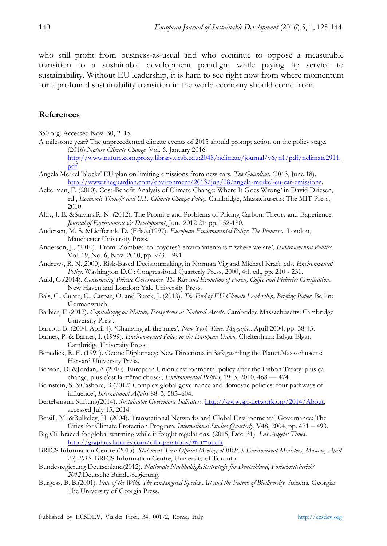who still profit from business-as-usual and who continue to oppose a measurable transition to a sustainable development paradigm while paying lip service to sustainability. Without EU leadership, it is hard to see right now from where momentum for a profound sustainability transition in the world economy should come from.

## **References**

350.org. Accessed Nov. 30, 2015.

A milestone year? The unprecedented climate events of 2015 should prompt action on the policy stage. (2016).*Nature Climate Change.* Vol. 6, January 2016.

[http://www.nature.com.proxy.library.ucsb.edu:2048/nclimate/journal/v6/n1/pdf/nclimate2911.](http://www.nature.com.proxy.library.ucsb.edu:2048/nclimate/journal/v6/n1/pdf/nclimate2911.pdf) [pdf.](http://www.nature.com.proxy.library.ucsb.edu:2048/nclimate/journal/v6/n1/pdf/nclimate2911.pdf)

- Angela Merkel 'blocks' EU plan on limiting emissions from new cars. *The Guardian.* (2013, June 18). [http://www.theguardian.com/environment/2013/jun/28/angela-merkel-eu-car-emissions.](http://www.theguardian.com/environment/2013/jun/28/angela-merkel-eu-car-emissions)
- Ackerman, F. (2010). Cost-Benefit Analysis of Climate Change: Where It Goes Wrong' in David Driesen, ed., *Economic Thought and U.S. Climate Change Policy.* Cambridge, Massachusetts: The MIT Press, 2010.
- Aldy, J. E. &Stavins,R. N. (2012). The Promise and Problems of Pricing Carbon: Theory and Experience, *Journal of Environment & Development*, June 2012 21: pp. 152-180.
- Andersen, M. S. &Liefferink, D. (Eds.).(1997). *European Environmental Policy: The Pioneers.* London, Manchester University Press.
- Anderson, J., (2010). 'From 'Zombies' to 'coyotes': environmentalism where we are', *Environmental Politics*. Vol. 19, No. 6, Nov. 2010, pp. 973 – 991.
- Andrews, R. N.(2000). Risk-Based Decisionmaking, in Norman Vig and Michael Kraft, eds. *Environmental Policy*. Washington D.C.: Congressional Quarterly Press, 2000, 4th ed., pp. 210 - 231.
- Auld, G.(2014). *Constructing Private Governance. The Rise and Evolution of Forest, Coffee and Fisheries Certification*. New Haven and London: Yale University Press.
- Bals, C., Cuntz, C., Caspar, O. and Burck, J. (2013). *The End of EU Climate Leadership, Briefing Paper*. Berlin: Germanwatch.
- Barbier, E.(2012). *Capitalizing on Nature, Ecosystems as Natural Assets.* Cambridge Massachusetts: Cambridge University Press.
- Barcott, B. (2004, April 4). 'Changing all the rules', *New York Times Magazine*. April 2004, pp. 38-43.
- Barnes, P. & Barnes, I. (1999). *Environmental Policy in the European Union.* Cheltenham: Edgar Elgar. Cambridge University Press.
- Benedick, R. E. (1991). Ozone Diplomacy: New Directions in Safeguarding the Planet.Massachusetts: Harvard University Press.
- Benson, D. &Jordan, A.(2010). European Union environmental policy after the Lisbon Treaty: plus ça change, plus c'est la même chose?, *Environmental Politics*, 19: 3, 2010, 468 — 474.
- Bernstein, S. &Cashore, B.(2012) Complex global governance and domestic policies: four pathways of influence', *International Affairs* 88: 3, 585–604.
- Bertelsmann Stiftung(2014). *Sustainable Governance Indicators.* [http://www.sgi-network.org/2014/About,](http://www.sgi-network.org/2014/About) accessed July 15, 2014.
- Betsill, M. &Bulkeley, H. (2004). Transnational Networks and Global Environmental Governance: The Cities for Climate Protection Program. *International Studies Quarterly*, V48, 2004, pp. 471 – 493.
- Big Oil braced for global warming while it fought regulations. (2015, Dec. 31). *Los Angeles Times*. [http://graphics.latimes.com/oil-operations/#nt=outfit.](http://graphics.latimes.com/oil-operations/#nt=outfit)
- BRICS Information Centre (2015). *Statement: First Official Meeting of BRICS Environment Ministers, Moscow, April 22, 2015.* BRICS Information Centre, University of Toronto.
- Bundesregierung Deutschland(2012). *Nationale Nachhaltigkeitsstrategie für Deutschland, Fortschrittsbericht 2012.*Deutsche Bundesregierung.
- Burgess, B. B.(2001). *Fate of the Wild. The Endangered Species Act and the Future of Biodiversity.* Athens, Georgia: The University of Georgia Press.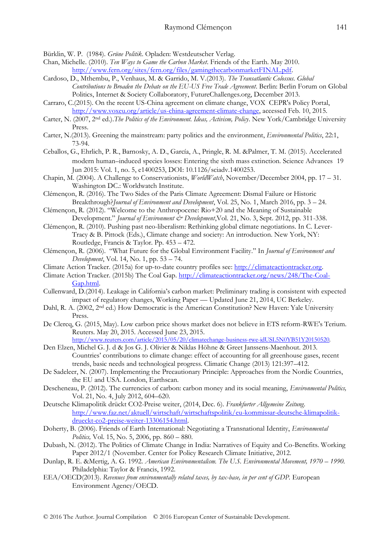Bürklin, W. P. (1984). *Grüne Politik*. Opladen: Westdeutscher Verlag.

- Chan, Michelle. (2010). *Ten Ways to Game the Carbon Market*. Friends of the Earth. May 2010. [http://www.fern.org/sites/fern.org/files/gamingthecarbonmarketFINAL.pdf.](http://www.fern.org/sites/fern.org/files/gamingthecarbonmarketFINAL.pdf)
- Cardoso, D., Mthembu, P., Venhaus, M. & Garrido, M. V.(2013). *The Transatlantic Colossus. Global Contributions to Broaden the Debate on the EU-US Free Trade Agreement*. Berlin: Berlin Forum on Global Politics, Internet & Society Collaboratory, FutureChallenges.org, December 2013.
- Carraro, C.(2015). On the recent US-China agreement on climate change, VOX CEPR's Policy Portal, [http://www.voxeu.org/article/us-china-agreement-climate-change,](http://www.voxeu.org/article/us-china-agreement-climate-change) accessed Feb. 10, 2015.
- Carter, N. (2007, 2nd ed.).*The Politics of the Environment. Ideas, Activism, Policy*. New York/Cambridge University Press.
- Carter, N.(2013). Greening the mainstream: party politics and the environment, *Environmental Politics*, 22:1, 73-94.
- Ceballos, G., Ehrlich, P. R., Barnosky, A. D., García, A., Pringle, R. M. &Palmer, T. M. (2015). Accelerated modern human–induced species losses: Entering the sixth mass extinction. Science Advances 19 Jun 2015: Vol. 1, no. 5, e1400253, DOI: 10.1126/sciadv.1400253.
- Chapin, M. (2004). A Challenge to Conservationists, *WorldWatch*, November/December 2004, pp. 17 31. Washington DC.: Worldwatch Institute.
- Clémençon, R. (2016). The Two Sides of the Paris Climate Agreement: Dismal Failure or Historic Breakthrough?*Journal of Environment and Development*, Vol. 25, No. 1, March 2016, pp. 3 – 24.
- Clémençon, R. (2012). "Welcome to the Anthropocene: Rio+20 and the Meaning of Sustainable Development." *Journal of Environment & Development*, Vol. 21, No. 3, Sept. 2012, pp. 311-338.
- Clémençon, R. (2010). Pushing past neo-liberalism: Rethinking global climate negotiations. In C. Lever-Tracy & B. Pittock (Eds.), Climate change and society: An introduction. New York, NY: Routledge, Francis & Taylor. Pp. 453 – 472.
- Clémençon, R. (2006). "What Future for the Global Environment Facility." In *Journal of Environment and Development*, Vol. 14, No. 1, pp. 53 – 74.
- Climate Action Tracker. (2015a) for up-to-date country profiles see: [http://climateactiontracker.org.](http://climateactiontracker.org/)
- Climate Action Tracker. (2015b) The Coal Gap. [http://climateactiontracker.org/news/248/The-Coal-](http://climateactiontracker.org/news/248/The-Coal-Gap.html)[Gap.html.](http://climateactiontracker.org/news/248/The-Coal-Gap.html)
- Cullenward, D.(2014). Leakage in California's carbon market: Preliminary trading is consistent with expected impact of regulatory changes, Working Paper — Updated June 21, 2014, UC Berkeley.
- Dahl, R. A. (2002, 2<sup>nd</sup> ed.) How Democratic is the American Constitution? New Haven: Yale University Press.
- De Clercq, G. (2015, May). Low carbon price shows market does not believe in ETS reform-RWE's Terium. Reuters. May 20, 2015. Accessed June 23, 2015.

[http://www.reuters.com/article/2015/05/20/climatechange-business-rwe-idUSL5N0YB51Y20150520.](http://www.reuters.com/article/2015/05/20/climatechange-business-rwe-idUSL5N0YB51Y20150520) 

- Den Elzen, Michel G. J. d & Jos G. J. Olivier & Niklas Höhne & Greet Janssens-Maenhout. 2013. Countries' contributions to climate change: effect of accounting for all greenhouse gases, recent trends, basic needs and technological progress. Climatic Change (2013) 121:397–412.
- De Sadeleer, N. (2007). Implementing the Precautionary Principle: Approaches from the Nordic Countries, the EU and USA. London, Earthscan.
- Descheneau, P. (2012). The currencies of carbon: carbon money and its social meaning, *Environmental Politics,* Vol. 21, No. 4, July 2012, 604–620.
- Deutsche Klimapolitik drückt CO2-Preise weiter, (2014, Dec. 6). *Frankfurter Allgemeine Zeitung*. [http://www.faz.net/aktuell/wirtschaft/wirtschaftspolitik/eu-kommissar-deutsche-klimapolitik](http://www.faz.net/aktuell/wirtschaft/wirtschaftspolitik/eu-kommissar-deutsche-klimapolitik-drueckt-co2-preise-weiter-13306154.html)[drueckt-co2-preise-weiter-13306154.html.](http://www.faz.net/aktuell/wirtschaft/wirtschaftspolitik/eu-kommissar-deutsche-klimapolitik-drueckt-co2-preise-weiter-13306154.html)
- Doherty, B. (2006). Friends of Earth International: Negotiating a Transnational Identity, *Environmental Politics,* Vol. 15, No. 5, 2006, pp. 860 – 880.
- Dubash, N. (2012). The Politics of Climate Change in India: Narratives of Equity and Co-Benefits. Working Paper 2012/1 (November. Center for Policy Research Climate Initiative, 2012.
- Dunlap, R. E. &Mertig, A. G. 1992. *American Environmentalism. The U.S. Environmental Movement, 1970 – 1990.* Philadelphia: Taylor & Francis, 1992.
- EEA/OECD(2013). *Revenues from environmentally related taxes, by tax-base, in per cent of GDP.* European Environment Agency/OECD.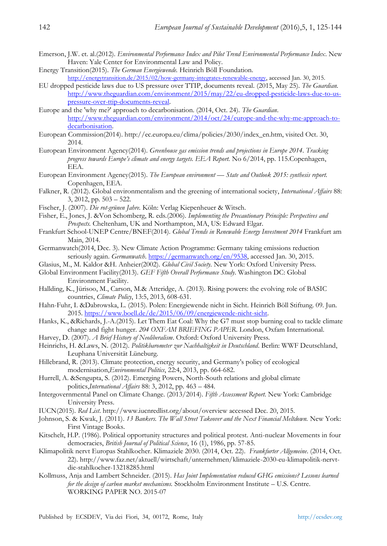- Emerson, J.W. et. al.(2012). *Environmental Performance Index and Pilot Trend Environmental Performance Index*. New Haven: Yale Center for Environmental Law and Policy.
- Energy Transition(2015). *The German Energiewende.* Heinrich Böll Foundation. [http://energytransition.de/2015/02/how-germany-integrates-renewable-energy,](http://energytransition.de/2015/02/how-germany-integrates-renewable-energy) accessed Jan. 30, 2015.
- EU dropped pesticide laws due to US pressure over TTIP, documents reveal. (2015, May 25). *The Guardian.* [http://www.theguardian.com/environment/2015/may/22/eu-dropped-pesticide-laws-due-to-us](http://www.theguardian.com/environment/2015/may/22/eu-dropped-pesticide-laws-due-to-us-pressure-over-ttip-documents-reveal)[pressure-over-ttip-documents-reveal.](http://www.theguardian.com/environment/2015/may/22/eu-dropped-pesticide-laws-due-to-us-pressure-over-ttip-documents-reveal)
- Europe and the 'why me?' approach to decarbonisation. (2014, Oct. 24). *The Guardian*. [http://www.theguardian.com/environment/2014/oct/24/europe-and-the-why-me-approach-to](http://www.theguardian.com/environment/2014/oct/24/europe-and-the-why-me-approach-to-decarbonisation)[decarbonisation.](http://www.theguardian.com/environment/2014/oct/24/europe-and-the-why-me-approach-to-decarbonisation)
- European Commission(2014). http://ec.europa.eu/clima/policies/2030/index\_en.htm, visited Oct. 30, 2014.
- European Environment Agency(2014). *Greenhouse gas emission trends and projections in Europe 2014. Tracking progress towards Europe's climate and energy targets. EEA Report.* No 6/2014, pp. 115.Copenhagen, EEA.
- European Environment Agency(2015). *The European environment — State and Outlook 2015: synthesis report.* Copenhagen, EEA.
- Falkner, R. (2012). Global environmentalism and the greening of international society, *International Affairs* 88: 3, 2012, pp. 503 – 522.
- Fischer, J. (2007). *Die rot-grünen Jahre.* Köln: Verlag Kiepenheuer & Witsch.
- Fisher, E., Jones, J. &Von Schomberg, R. eds.(2006). *Implementing the Precautionary Principle: Perspectives and Prospects.* Cheltenham, UK and Northampton, MA, US: Edward Elgar.
- Frankfurt School-UNEP Centre/BNEF(2014). *Global Trends in Renewable Energy Investment 2014* Frankfurt am Main, 2014.
- Germanwatch(2014, Dec. 3). New Climate Action Programme: Germany taking emissions reduction seriously again. *Germanwatch*. [https://germanwatch.org/en/9538,](https://germanwatch.org/en/9538) accessed Jan. 30, 2015.
- Glasius, M., M. Kaldor &H. Anheier(2002). *Global Civil Society.* New York: Oxford University Press.
- Global Environment Facility(2013). *GEF Fifth Overall Performance Study*. Washington DC: Global Environment Facility.
- Hallding, K., Jürisoo, M., Carson, M.& Atteridge, A. (2013). Rising powers: the evolving role of BASIC countries, *Climate Policy*, 13:5, 2013, 608-631.
- Hahn-Fuhr, I. &Dabrowska, L. (2015). Polen: Energiewende nicht in Sicht. Heinrich Böll Stiftung. 09. Jun. 2015[. https://www.boell.de/de/2015/06/09/energiewende-nicht-sicht.](https://www.boell.de/de/2015/06/09/energiewende-nicht-sicht)
- Hanks, K., &Richards, J.-A.(2015). Let Them Eat Coal: Why the G7 must stop burning coal to tackle climate change and fight hunger. *204 OXFAM BRIEFING PAPER*. London, Oxfam International.
- Harvey, D. (2007). *A Brief History of Neoliberalism*. Oxford: Oxford University Press.
- Heinrichs, H. &Laws, N. (2012). *Politikbarometer zur Nachhaltigkeit in Deutschland*. Berlin: WWF Deutschland, Leuphana Universität Lüneburg.
- Hillebrand, R. (2013). Climate protection, energy security, and Germany's policy of ecological modernisation,*Environmental Politics*, 22:4, 2013, pp. 664-682.
- Hurrell, A. &Sengupta, S. (2012). Emerging Powers, North-South relations and global climate politics,*International Affairs* 88: 3, 2012, pp. 463 – 484.
- Intergovernmental Panel on Climate Change. (2013/2014). *Fifth Assessment Report.* New York: Cambridge University Press.
- IUCN(2015). *Red List*. http://www.iucnredlist.org/about/overview accessed Dec. 20, 2015.
- Johnson, S. & Kwak, J. (2011). *13 Bankers. The Wall Street Takeover and the Next Financial Meltdown.* New York: First Vintage Books.
- Kitschelt, H.P. (1986). Political opportunity structures and political protest. Anti-nuclear Movements in four democracies, *British Journal of Political Science*, 16 (1), 1986, pp. 57-85.
- Klimapolitik nervt Europas Stahlkocher. Klimaziele 2030. (2014, Oct. 22). *Frankfurter Allgemeine*. (2014, Oct. 22). http://www.faz.net/aktuell/wirtschaft/unternehmen/klimaziele-2030-eu-klimapolitik-nervtdie-stahlkocher-13218285.html
- Kollmuss, Anja and Lambert Schneider. (2015). *Has Joint Implementation reduced GHG emissions? Lessons learned for the design of carbon market mechanisms.* Stockholm Environment Institute – U.S. Centre. WORKING PAPER NO. 2015-07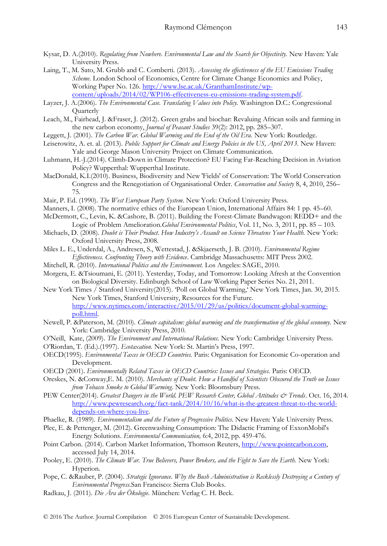- Kysar, D. A.(2010). *Regulating from Nowhere. Environmental Law and the Search for Objectivity.* New Haven: Yale University Press.
- Laing, T., M. Sato, M. Grubb and C. Comberti. (2013). *Assessing the effectiveness of the EU Emissions Trading Scheme*. London School of Economics, Centre for Climate Change Economics and Policy, Working Paper No. 126[. http://www.lse.ac.uk/GranthamInstitute/wp](http://www.lse.ac.uk/GranthamInstitute/wp-content/uploads/2014/02/WP106-effectiveness-eu-emissions-trading-system.pdf)[content/uploads/2014/02/WP106-effectiveness-eu-emissions-trading-system.pdf.](http://www.lse.ac.uk/GranthamInstitute/wp-content/uploads/2014/02/WP106-effectiveness-eu-emissions-trading-system.pdf)
- Layzer, J. A.(2006). *The Environmental Case. Translating Values into Policy.* Washington D.C.: Congressional **Ouarterly**
- Leach, M., Fairhead, J. &Fraser, J. (2012). Green grabs and biochar: Revaluing African soils and farming in the new carbon economy, *Journal of Peasant Studies* 39(2): 2012, pp. 285–307.
- Leggett, J. (2001). *The Carbon War. Global Warming and the End of the Oil Era.* New York: Routledge.
- Leiserowitz, A. et. al. (2013). *Public Support for Climate and Energy Policies in the US, April 2013.* New Haven: Yale and George Mason University Project on Climate Communication.
- Luhmann, H.-J.(2014). Climb-Down in Climate Protection? EU Facing Far-Reaching Decision in Aviation Policy? Wupperthal: Wupperthal Institute.
- MacDonald, K.I.(2010). Business, Biodiversity and New 'Fields' of Conservation: The World Conservation Congress and the Renegotiation of Organisational Order. *Conservation and Society* 8, 4, 2010, 256– 75.
- Mair, P. Ed. (1990). *The West European Party System*. New York: Oxford University Press.
- Manners, I. (2008). The normative ethics of the European Union, International Affairs 84: 1 pp. 45–60.
- McDermott, C., Levin, K. &Cashore, B. (2011). Building the Forest-Climate Bandwagon: REDD+ and the Logic of Problem Amelioration.*Global Environmental Politics*, Vol. 11, No. 3, 2011, pp. 85 – 103.
- Michaels, D. (2008). *Doubt is Their Product. How Industry's Assault on Science Threatens Your Health.* New York: Oxford University Press, 2008.
- Miles L. E., Underdal, A., Andresen, S., Wettestad, J. &Skjaerseth, J. B. (2010). *Environmental Regime Effectiveness. Confronting Theory with Evidence*. Cambridge Massachusetts: MIT Press 2002.
- Mitchell, R. (2010). *International Politics and the Environment.* Los Angeles: SAGE, 2010.
- Morgera, E. &Tsioumani, E. (2011). Yesterday, Today, and Tomorrow: Looking Afresh at the Convention on Biological Diversity. Edinburgh School of Law Working Paper Series No. 21, 2011.
- New York Times / Stanford University(2015). 'Poll on Global Warming,' New York Times, Jan. 30, 2015. New York Times, Stanford University, Resources for the Future. [http://www.nytimes.com/interactive/2015/01/29/us/politics/document-global-warming](http://www.nytimes.com/interactive/2015/01/29/us/politics/document-global-warming-poll.html)[poll.html.](http://www.nytimes.com/interactive/2015/01/29/us/politics/document-global-warming-poll.html)
- Newell, P. &Paterson, M. (2010). *Climate capitalism: global warming and the transformation of the global economy.* New York: Cambridge University Press, 2010.
- O'Neill, Kate, (2009). *The Environment and International Relations*. New York: Cambridge University Press.
- O'Riordan, T. (Ed.).(1997). *Ecotaxation.* New York: St. Martin's Press, 1997.
- OECD(1995). *Environmental Taxes in OECD Countries.* Paris: Organisation for Economic Co-operation and Development.
- OECD (2001). *Environmentally Related Taxes in OECD Countries: Issues and Strategies.* Paris: OECD.
- Oreskes, N. &Conway,E. M. (2010). *Merchants of Doubt. How a Handful of Scientists Obscured the Truth on Issues from Tobacco Smoke to Global Warming*. New York: Bloomsbury Press.
- PEW Center(2014). *Greatest Dangers in the World*. PEW Research Center, Global Attitudes & Trends. Oct. 16, 2014. [http://www.pewresearch.org/fact-tank/2014/10/16/what-is-the-greatest-threat-to-the-world](http://www.pewresearch.org/fact-tank/2014/10/16/what-is-the-greatest-threat-to-the-world-depends-on-where-you-live)[depends-on-where-you-live.](http://www.pewresearch.org/fact-tank/2014/10/16/what-is-the-greatest-threat-to-the-world-depends-on-where-you-live)
- Phaelke, R. (1989). *Environmentalism and the Future of Progressive Politics*. New Haven: Yale University Press.
- Plec, E. & Pettenger, M. (2012). Greenwashing Consumption: The Didactic Framing of ExxonMobil's Energy Solutions. *Environmental Communication,* 6:4, 2012, pp. 459-476.
- Point Carbon. (2014). Carbon Market Information, Thomson Reuters, [http://www.pointcarbon.com,](http://www.pointcarbon.com/)  accessed July 14, 2014.
- Pooley, E. (2010). *The Climate War. True Believers, Power Brokers, and the Fight to Save the Earth.* New York: Hyperion.
- Pope, C. &Rauber, P. (2004). *Strategic Ignorance. Why the Bush Administration is Recklessly Destroying a Century of Environmental Progress.*San Francisco: Sierra Club Books.
- Radkau, J. (2011). *Die Ära der Ökologie.* München: Verlag C. H. Beck.